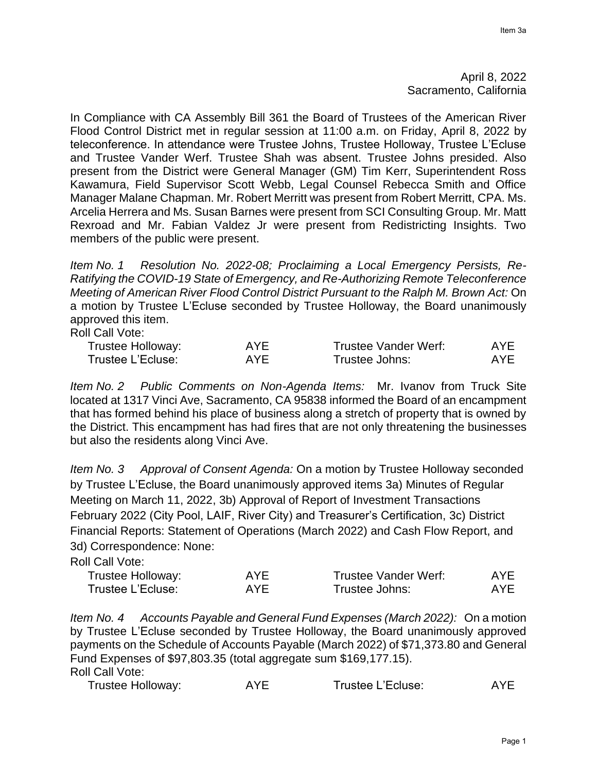In Compliance with CA Assembly Bill 361 the Board of Trustees of the American River Flood Control District met in regular session at 11:00 a.m. on Friday, April 8, 2022 by teleconference. In attendance were Trustee Johns, Trustee Holloway, Trustee L'Ecluse and Trustee Vander Werf. Trustee Shah was absent. Trustee Johns presided. Also present from the District were General Manager (GM) Tim Kerr, Superintendent Ross Kawamura, Field Supervisor Scott Webb, Legal Counsel Rebecca Smith and Office Manager Malane Chapman. Mr. Robert Merritt was present from Robert Merritt, CPA. Ms. Arcelia Herrera and Ms. Susan Barnes were present from SCI Consulting Group. Mr. Matt Rexroad and Mr. Fabian Valdez Jr were present from Redistricting Insights. Two members of the public were present.

*Item No. 1 Resolution No. 2022-08; Proclaiming a Local Emergency Persists, Re-Ratifying the COVID-19 State of Emergency, and Re-Authorizing Remote Teleconference Meeting of American River Flood Control District Pursuant to the Ralph M. Brown Act:* On a motion by Trustee L'Ecluse seconded by Trustee Holloway, the Board unanimously approved this item.

Roll Call Vote:

| Trustee Holloway: | AYE | Trustee Vander Werf: | AYE |
|-------------------|-----|----------------------|-----|
| Trustee L'Ecluse: | AYE | Trustee Johns:       | AYE |

*Item No. 2 Public Comments on Non-Agenda Items:* Mr. Ivanov from Truck Site located at 1317 Vinci Ave, Sacramento, CA 95838 informed the Board of an encampment that has formed behind his place of business along a stretch of property that is owned by the District. This encampment has had fires that are not only threatening the businesses but also the residents along Vinci Ave.

*Item No. 3 Approval of Consent Agenda:* On a motion by Trustee Holloway seconded by Trustee L'Ecluse, the Board unanimously approved items 3a) Minutes of Regular Meeting on March 11, 2022, 3b) Approval of Report of Investment Transactions February 2022 (City Pool, LAIF, River City) and Treasurer's Certification, 3c) District Financial Reports: Statement of Operations (March 2022) and Cash Flow Report, and 3d) Correspondence: None:

Roll Call Vote:

| Trustee Holloway: | AYF | <b>Trustee Vander Werf:</b> | AYE |
|-------------------|-----|-----------------------------|-----|
| Trustee L'Ecluse: | AYF | Trustee Johns:              | AYE |

*Item No. 4 Accounts Payable and General Fund Expenses (March 2022):* On a motion by Trustee L'Ecluse seconded by Trustee Holloway, the Board unanimously approved payments on the Schedule of Accounts Payable (March 2022) of \$71,373.80 and General Fund Expenses of \$97,803.35 (total aggregate sum \$169,177.15). Roll Call Vote:

| <b>Trustee Holloway:</b> | AYE | Trustee L'Ecluse: | AYE. |
|--------------------------|-----|-------------------|------|
|--------------------------|-----|-------------------|------|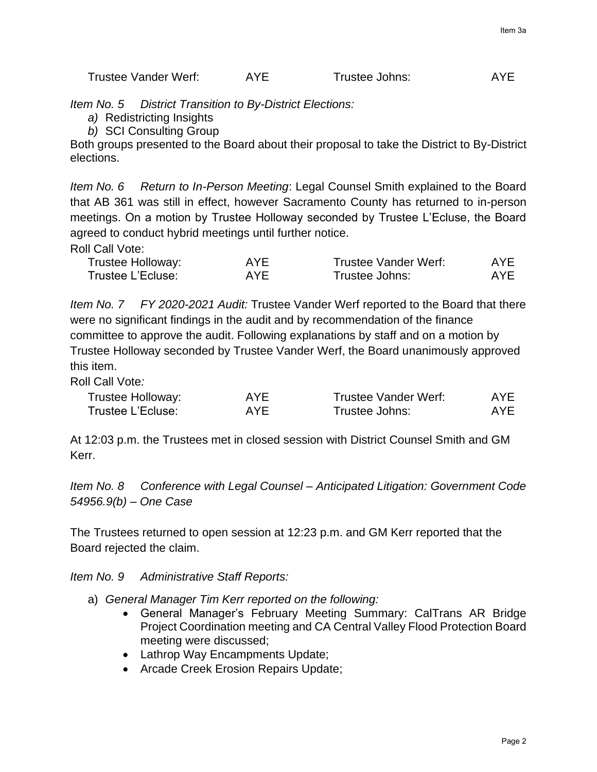*Item No. 5 District Transition to By-District Elections:*

- *a)* Redistricting Insights
- *b)* SCI Consulting Group

Both groups presented to the Board about their proposal to take the District to By-District elections.

*Item No. 6 Return to In-Person Meeting*: Legal Counsel Smith explained to the Board that AB 361 was still in effect, however Sacramento County has returned to in-person meetings. On a motion by Trustee Holloway seconded by Trustee L'Ecluse, the Board agreed to conduct hybrid meetings until further notice.

Roll Call Vote:

| Trustee Holloway: | AYF | Trustee Vander Werf: | AYE. |
|-------------------|-----|----------------------|------|
| Trustee L'Ecluse: | AYF | Trustee Johns:       | AYE  |

*Item No. 7 FY 2020-2021 Audit:* Trustee Vander Werf reported to the Board that there were no significant findings in the audit and by recommendation of the finance committee to approve the audit. Following explanations by staff and on a motion by Trustee Holloway seconded by Trustee Vander Werf, the Board unanimously approved this item.

Roll Call Vote*:*

| Trustee Holloway: | <b>AYE</b> | Trustee Vander Werf: | <b>AYE</b> |
|-------------------|------------|----------------------|------------|
| Trustee L'Ecluse: | AYF        | Trustee Johns:       | AYE.       |

At 12:03 p.m. the Trustees met in closed session with District Counsel Smith and GM Kerr.

*Item No. 8 Conference with Legal Counsel – Anticipated Litigation: Government Code 54956.9(b) – One Case*

The Trustees returned to open session at 12:23 p.m. and GM Kerr reported that the Board rejected the claim.

*Item No. 9 Administrative Staff Reports:*

- a) *General Manager Tim Kerr reported on the following:*
	- General Manager's February Meeting Summary: CalTrans AR Bridge Project Coordination meeting and CA Central Valley Flood Protection Board meeting were discussed;
	- Lathrop Way Encampments Update;
	- Arcade Creek Erosion Repairs Update;